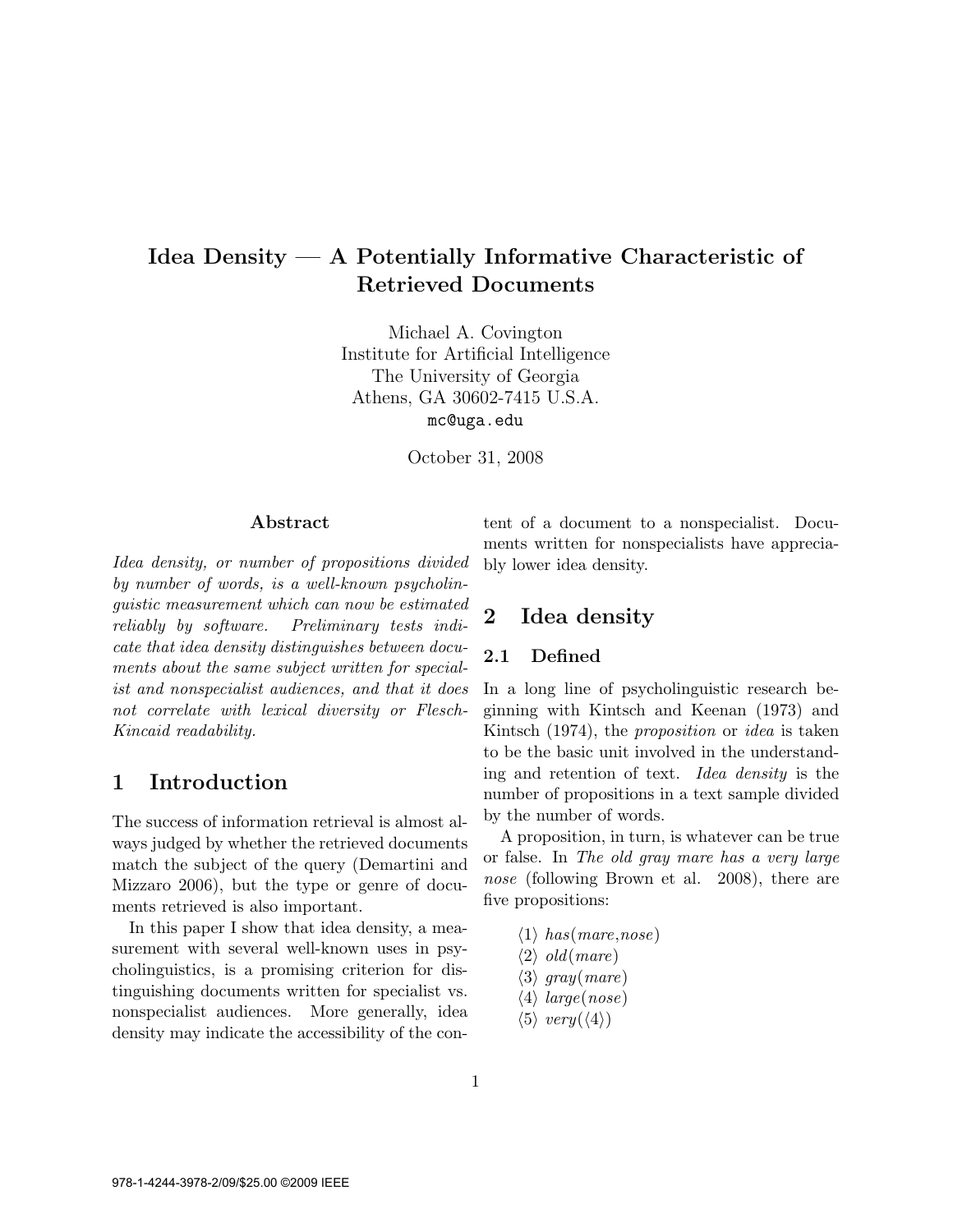# Idea Density — A Potentially Informative Characteristic of Retrieved Documents

Michael A. Covington Institute for Artificial Intelligence The University of Georgia Athens, GA 30602-7415 U.S.A. mc@uga.edu

October 31, 2008

#### Abstract

Idea density, or number of propositions divided by number of words, is a well-known psycholinguistic measurement which can now be estimated reliably by software. Preliminary tests indicate that idea density distinguishes between documents about the same subject written for specialist and nonspecialist audiences, and that it does not correlate with lexical diversity or Flesch-Kincaid readability.

### 1 Introduction

The success of information retrieval is almost always judged by whether the retrieved documents match the subject of the query (Demartini and Mizzaro 2006), but the type or genre of documents retrieved is also important.

In this paper I show that idea density, a measurement with several well-known uses in psycholinguistics, is a promising criterion for distinguishing documents written for specialist vs. nonspecialist audiences. More generally, idea density may indicate the accessibility of the content of a document to a nonspecialist. Documents written for nonspecialists have appreciably lower idea density.

## 2 Idea density

#### 2.1 Defined

In a long line of psycholinguistic research beginning with Kintsch and Keenan (1973) and Kintsch (1974), the proposition or idea is taken to be the basic unit involved in the understanding and retention of text. Idea density is the number of propositions in a text sample divided by the number of words.

A proposition, in turn, is whatever can be true or false. In The old gray mare has a very large nose (following Brown et al. 2008), there are five propositions:

 $\langle 1 \rangle$  has (mare,nose)  $\langle 2 \rangle$  old(mare)  $\langle 3 \rangle$  gray(mare)  $\langle 4 \rangle$  large(nose)  $\langle 5 \rangle$  very $(\langle 4 \rangle)$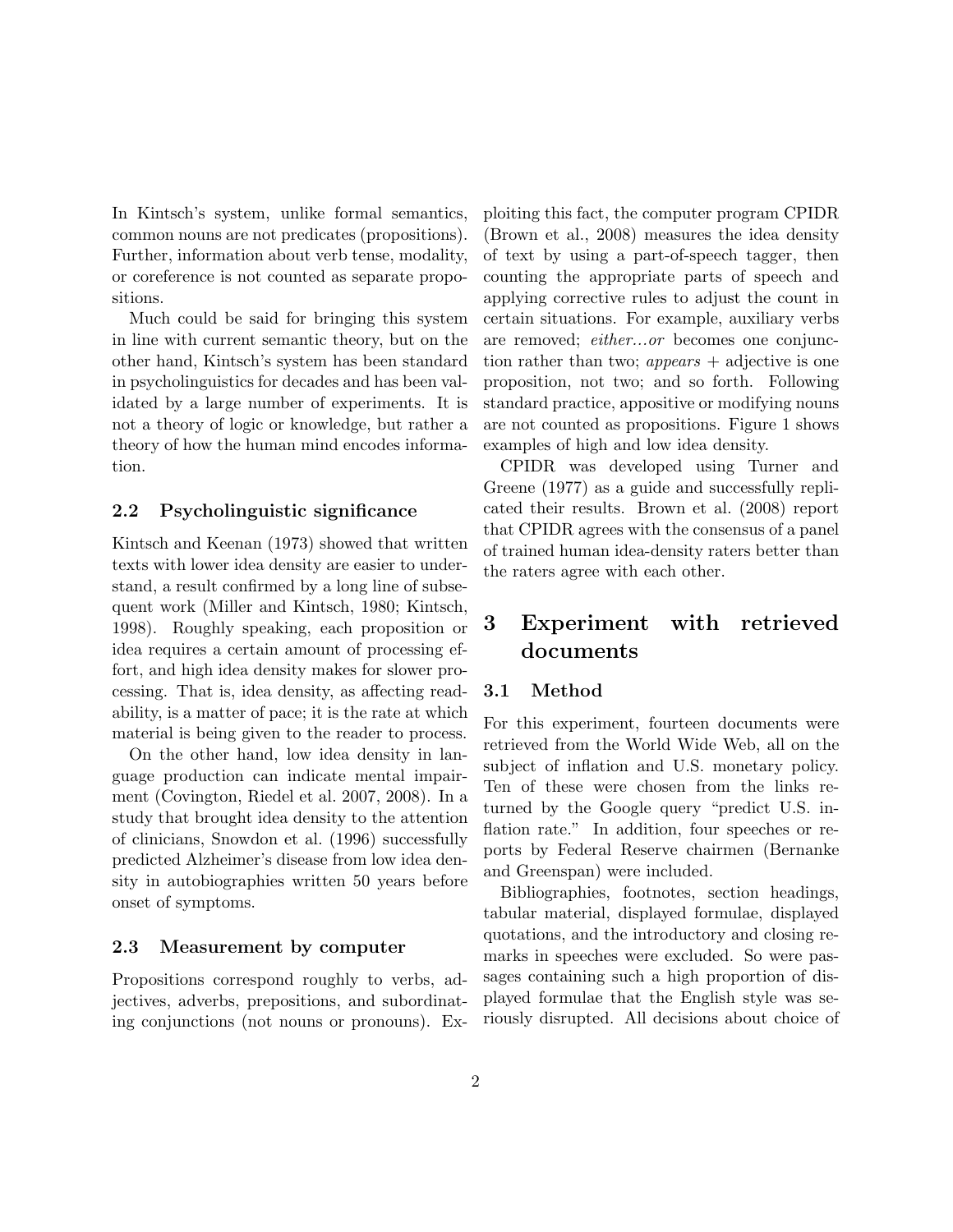In Kintsch's system, unlike formal semantics, common nouns are not predicates (propositions). Further, information about verb tense, modality, or coreference is not counted as separate propositions.

Much could be said for bringing this system in line with current semantic theory, but on the other hand, Kintsch's system has been standard in psycholinguistics for decades and has been validated by a large number of experiments. It is not a theory of logic or knowledge, but rather a theory of how the human mind encodes information.

#### 2.2 Psycholinguistic significance

Kintsch and Keenan (1973) showed that written texts with lower idea density are easier to understand, a result confirmed by a long line of subsequent work (Miller and Kintsch, 1980; Kintsch, 1998). Roughly speaking, each proposition or idea requires a certain amount of processing effort, and high idea density makes for slower processing. That is, idea density, as affecting readability, is a matter of pace; it is the rate at which material is being given to the reader to process.

On the other hand, low idea density in language production can indicate mental impairment (Covington, Riedel et al. 2007, 2008). In a study that brought idea density to the attention of clinicians, Snowdon et al. (1996) successfully predicted Alzheimer's disease from low idea density in autobiographies written 50 years before onset of symptoms.

#### 2.3 Measurement by computer

Propositions correspond roughly to verbs, adjectives, adverbs, prepositions, and subordinating conjunctions (not nouns or pronouns). Exploiting this fact, the computer program CPIDR (Brown et al., 2008) measures the idea density of text by using a part-of-speech tagger, then counting the appropriate parts of speech and applying corrective rules to adjust the count in certain situations. For example, auxiliary verbs are removed; either...or becomes one conjunction rather than two;  $appears + \text{adjective}$  is one proposition, not two; and so forth. Following standard practice, appositive or modifying nouns are not counted as propositions. Figure 1 shows examples of high and low idea density.

CPIDR was developed using Turner and Greene (1977) as a guide and successfully replicated their results. Brown et al. (2008) report that CPIDR agrees with the consensus of a panel of trained human idea-density raters better than the raters agree with each other.

# 3 Experiment with retrieved documents

#### 3.1 Method

For this experiment, fourteen documents were retrieved from the World Wide Web, all on the subject of inflation and U.S. monetary policy. Ten of these were chosen from the links returned by the Google query "predict U.S. inflation rate." In addition, four speeches or reports by Federal Reserve chairmen (Bernanke and Greenspan) were included.

Bibliographies, footnotes, section headings, tabular material, displayed formulae, displayed quotations, and the introductory and closing remarks in speeches were excluded. So were passages containing such a high proportion of displayed formulae that the English style was seriously disrupted. All decisions about choice of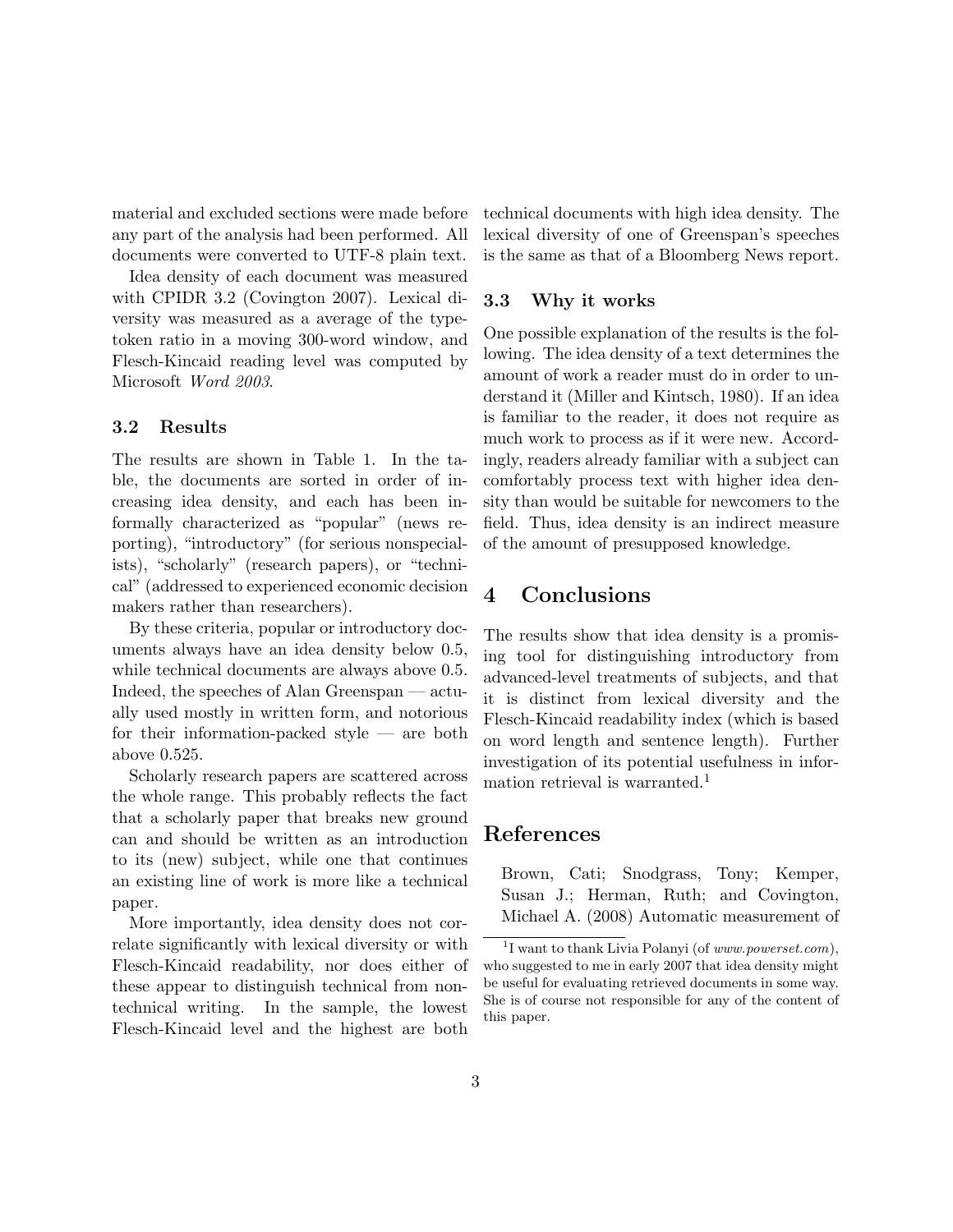material and excluded sections were made before any part of the analysis had been performed. All documents were converted to UTF-8 plain text.

Idea density of each document was measured with CPIDR 3.2 (Covington 2007). Lexical diversity was measured as a average of the typetoken ratio in a moving 300-word window, and Flesch-Kincaid reading level was computed by Microsoft Word 2003.

#### 3.2 Results

The results are shown in Table 1. In the table, the documents are sorted in order of increasing idea density, and each has been informally characterized as "popular" (news reporting), "introductory" (for serious nonspecialists), "scholarly" (research papers), or "technical" (addressed to experienced economic decision makers rather than researchers).

By these criteria, popular or introductory documents always have an idea density below 0.5, while technical documents are always above 0.5. Indeed, the speeches of Alan Greenspan — actually used mostly in written form, and notorious for their information-packed style — are both above 0.525.

Scholarly research papers are scattered across the whole range. This probably reflects the fact that a scholarly paper that breaks new ground can and should be written as an introduction to its (new) subject, while one that continues an existing line of work is more like a technical paper.

More importantly, idea density does not correlate significantly with lexical diversity or with Flesch-Kincaid readability, nor does either of these appear to distinguish technical from nontechnical writing. In the sample, the lowest Flesch-Kincaid level and the highest are both

technical documents with high idea density. The lexical diversity of one of Greenspan's speeches is the same as that of a Bloomberg News report.

#### 3.3 Why it works

One possible explanation of the results is the following. The idea density of a text determines the amount of work a reader must do in order to understand it (Miller and Kintsch, 1980). If an idea is familiar to the reader, it does not require as much work to process as if it were new. Accordingly, readers already familiar with a subject can comfortably process text with higher idea density than would be suitable for newcomers to the field. Thus, idea density is an indirect measure of the amount of presupposed knowledge.

## 4 Conclusions

The results show that idea density is a promising tool for distinguishing introductory from advanced-level treatments of subjects, and that it is distinct from lexical diversity and the Flesch-Kincaid readability index (which is based on word length and sentence length). Further investigation of its potential usefulness in information retrieval is warranted.<sup>1</sup>

## References

Brown, Cati; Snodgrass, Tony; Kemper, Susan J.; Herman, Ruth; and Covington, Michael A. (2008) Automatic measurement of

<sup>&</sup>lt;sup>1</sup>I want to thank Livia Polanyi (of *www.powerset.com*), who suggested to me in early 2007 that idea density might be useful for evaluating retrieved documents in some way. She is of course not responsible for any of the content of this paper.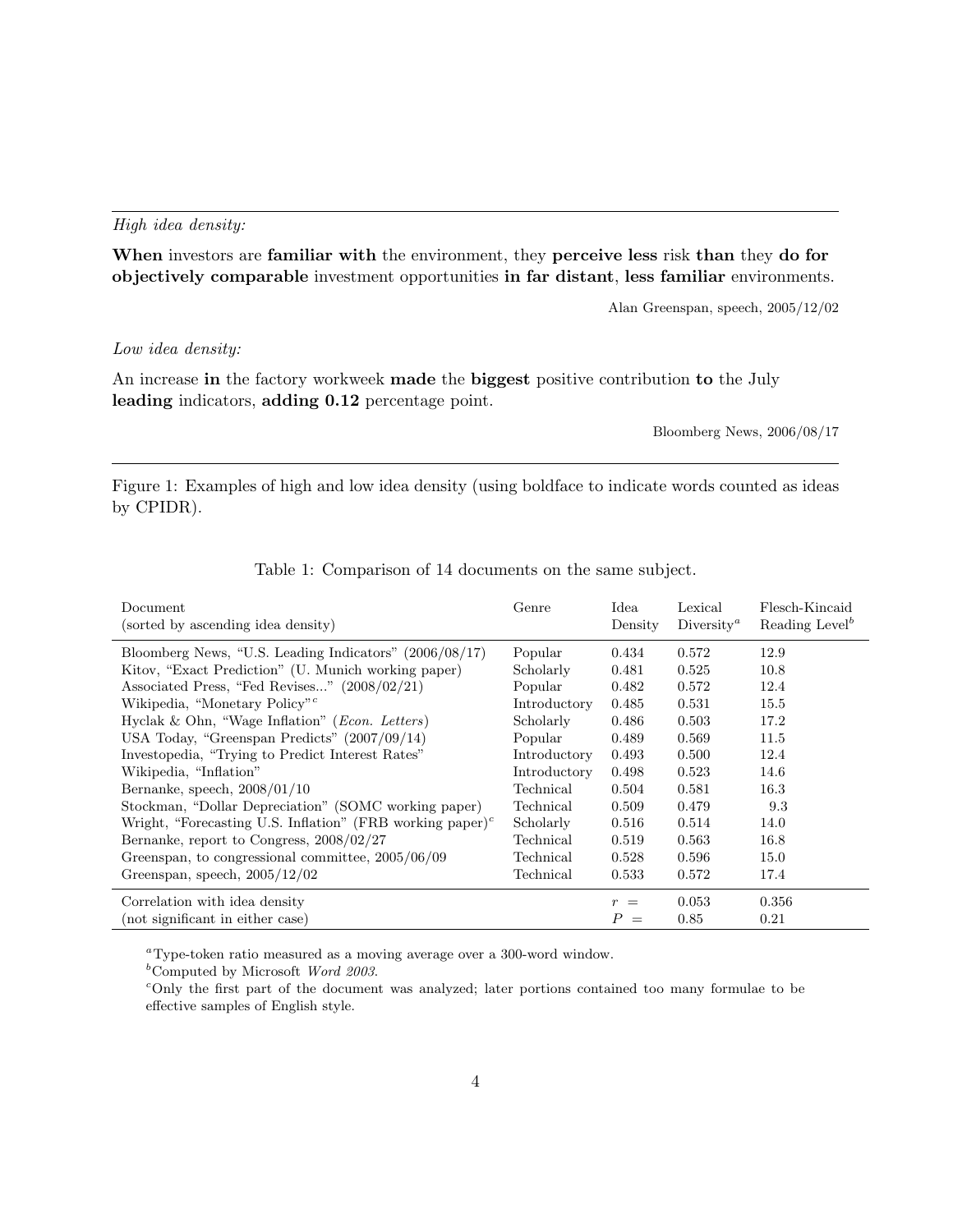#### High idea density:

When investors are familiar with the environment, they perceive less risk than they do for objectively comparable investment opportunities in far distant, less familiar environments.

Alan Greenspan, speech, 2005/12/02

#### Low idea density:

An increase in the factory workweek made the biggest positive contribution to the July leading indicators, adding 0.12 percentage point.

Bloomberg News, 2006/08/17

Figure 1: Examples of high and low idea density (using boldface to indicate words counted as ideas by CPIDR).

| Document<br>(sorted by ascending idea density)                                     | Genre        | Idea<br>Density         | Lexical<br>Diversity <sup><i>a</i></sup> | Flesch-Kincaid<br>Reading Level <sup>b</sup> |
|------------------------------------------------------------------------------------|--------------|-------------------------|------------------------------------------|----------------------------------------------|
| Bloomberg News, "U.S. Leading Indicators" $(2006/08/17)$                           | Popular      | 0.434                   | 0.572                                    | 12.9                                         |
| Kitov, "Exact Prediction" (U. Munich working paper)                                | Scholarly    | 0.481                   | 0.525                                    | 10.8                                         |
| Associated Press, "Fed Revises" (2008/02/21)                                       | Popular      | 0.482                   | 0.572                                    | 12.4                                         |
| Wikipedia, "Monetary Policy" <sup>c</sup>                                          | Introductory | 0.485                   | 0.531                                    | 15.5                                         |
| Hyclak & Ohn, "Wage Inflation" (Econ. Letters)                                     | Scholarly    | 0.486                   | 0.503                                    | 17.2                                         |
| USA Today, "Greenspan Predicts" (2007/09/14)                                       | Popular      | 0.489                   | 0.569                                    | 11.5                                         |
| Investopedia, "Trying to Predict Interest Rates"                                   | Introductory | 0.493                   | 0.500                                    | 12.4                                         |
| Wikipedia, "Inflation"                                                             | Introductory | 0.498                   | 0.523                                    | 14.6                                         |
| Bernanke, speech, $2008/01/10$                                                     | Technical    | 0.504                   | 0.581                                    | 16.3                                         |
| Stockman, "Dollar Depreciation" (SOMC working paper)                               | Technical    | 0.509                   | 0.479                                    | 9.3                                          |
| Wright, "Forecasting U.S. Inflation" (FRB working paper) <sup><math>c</math></sup> | Scholarly    | 0.516                   | 0.514                                    | 14.0                                         |
| Bernanke, report to Congress, 2008/02/27                                           | Technical    | 0.519                   | 0.563                                    | 16.8                                         |
| Greenspan, to congressional committee, $2005/06/09$                                | Technical    | 0.528                   | 0.596                                    | 15.0                                         |
| Greenspan, speech, $2005/12/02$                                                    | Technical    | 0.533                   | 0.572                                    | 17.4                                         |
| Correlation with idea density                                                      |              | $\mathcal{r}$<br>$=$    | 0.053                                    | 0.356                                        |
| (not significant in either case)                                                   |              | $\boldsymbol{P}$<br>$=$ | 0.85                                     | 0.21                                         |

Table 1: Comparison of 14 documents on the same subject.

<sup>a</sup>Type-token ratio measured as a moving average over a 300-word window.

 $<sup>b</sup>$ Computed by Microsoft Word 2003.</sup>

<sup>c</sup>Only the first part of the document was analyzed; later portions contained too many formulae to be effective samples of English style.